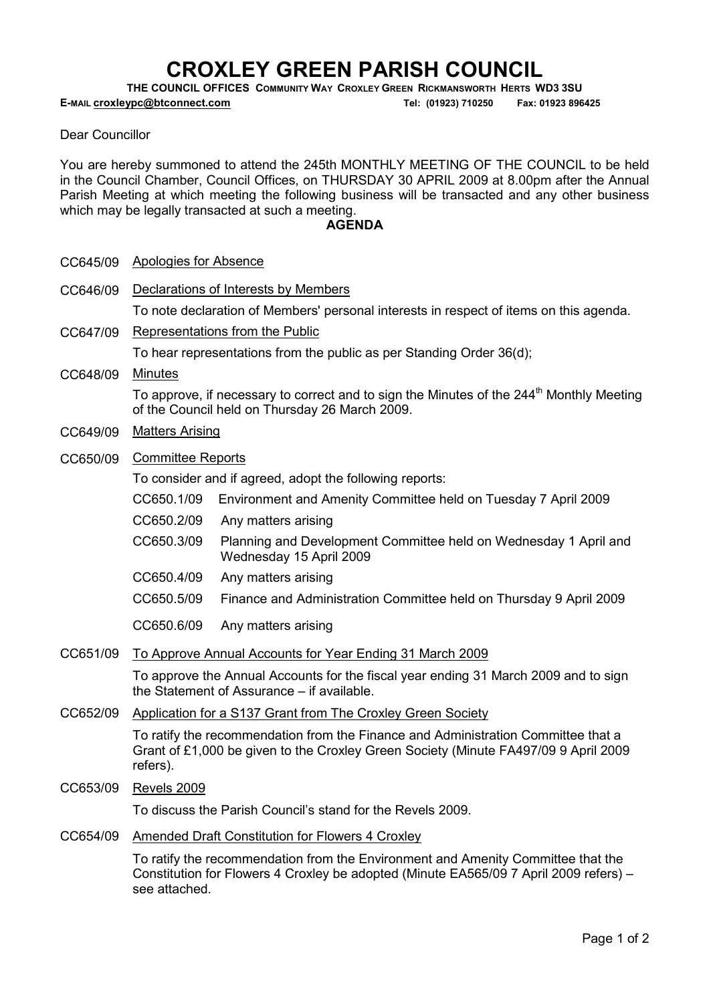# CROXLEY GREEN PARISH COUNCIL

THE COUNCIL OFFICES COMMUNITY WAY CROXLEY GREEN RICKMANSWORTH HERTS WD3 3SU

E-MAIL croxleypc@btconnect.com Tel: (01923) 710250 Fax: 01923 896425

Dear Councillor

You are hereby summoned to attend the 245th MONTHLY MEETING OF THE COUNCIL to be held in the Council Chamber, Council Offices, on THURSDAY 30 APRIL 2009 at 8.00pm after the Annual Parish Meeting at which meeting the following business will be transacted and any other business which may be legally transacted at such a meeting.

## **AGENDA**

CC646/09 Declarations of Interests by Members

To note declaration of Members' personal interests in respect of items on this agenda.

CC647/09 Representations from the Public

To hear representations from the public as per Standing Order 36(d);

CC648/09 Minutes

To approve, if necessary to correct and to sign the Minutes of the 244<sup>th</sup> Monthly Meeting of the Council held on Thursday 26 March 2009.

- CC649/09 Matters Arising
- CC650/09 Committee Reports

To consider and if agreed, adopt the following reports:

- CC650.1/09 Environment and Amenity Committee held on Tuesday 7 April 2009
- CC650.2/09 Any matters arising
- CC650.3/09 Planning and Development Committee held on Wednesday 1 April and Wednesday 15 April 2009
- CC650.4/09 Any matters arising
- CC650.5/09 Finance and Administration Committee held on Thursday 9 April 2009
- CC650.6/09 Any matters arising
- CC651/09 To Approve Annual Accounts for Year Ending 31 March 2009

To approve the Annual Accounts for the fiscal year ending 31 March 2009 and to sign the Statement of Assurance – if available.

CC652/09 Application for a S137 Grant from The Croxley Green Society

To ratify the recommendation from the Finance and Administration Committee that a Grant of £1,000 be given to the Croxley Green Society (Minute FA497/09 9 April 2009 refers).

CC653/09 Revels 2009

To discuss the Parish Council's stand for the Revels 2009.

CC654/09 Amended Draft Constitution for Flowers 4 Croxley

To ratify the recommendation from the Environment and Amenity Committee that the Constitution for Flowers 4 Croxley be adopted (Minute EA565/09 7 April 2009 refers) – see attached.